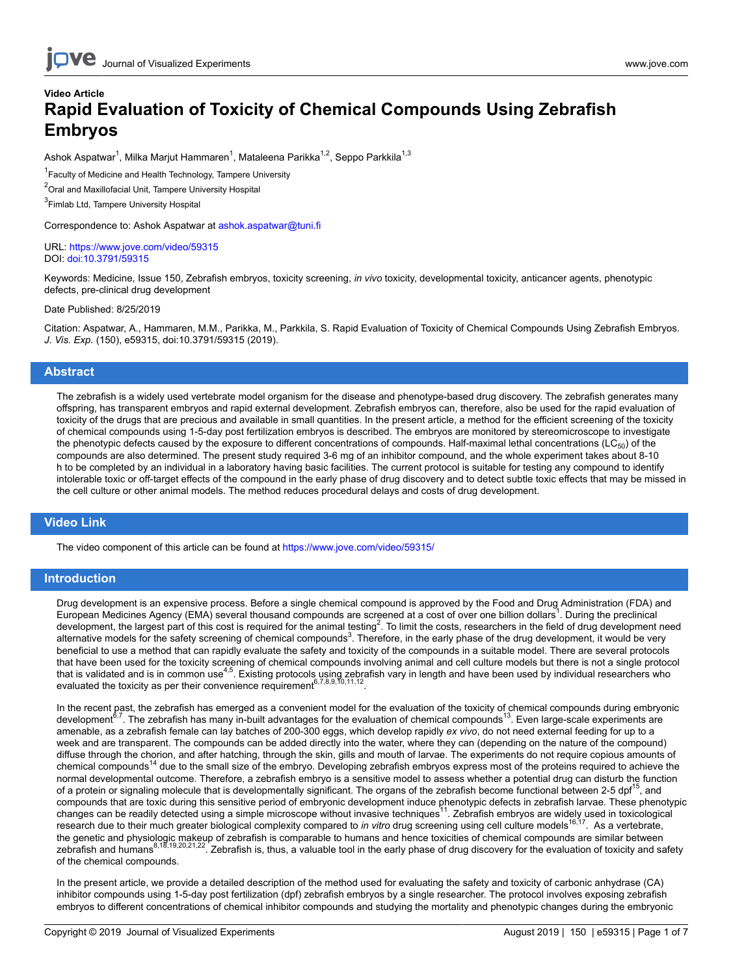# **Video Article Rapid Evaluation of Toxicity of Chemical Compounds Using Zebrafish Embryos**

Ashok Aspatwar<sup>1</sup>, Milka Marjut Hammaren<sup>1</sup>, Mataleena Parikka<sup>1,2</sup>, Seppo Parkkila<sup>1,3</sup>

<sup>1</sup> Faculty of Medicine and Health Technology, Tampere University

<sup>2</sup>Oral and Maxillofacial Unit, Tampere University Hospital

<sup>3</sup> Fimlab Ltd, Tampere University Hospital

Correspondence to: Ashok Aspatwar at [ashok.aspatwar@tuni.fi](mailto:ashok.aspatwar@tuni.fi)

URL:<https://www.jove.com/video/59315> DOI: [doi:10.3791/59315](http://dx.doi.org/10.3791/59315)

Keywords: Medicine, Issue 150, Zebrafish embryos, toxicity screening, *in vivo* toxicity, developmental toxicity, anticancer agents, phenotypic defects, pre-clinical drug development

Date Published: 8/25/2019

Citation: Aspatwar, A., Hammaren, M.M., Parikka, M., Parkkila, S. Rapid Evaluation of Toxicity of Chemical Compounds Using Zebrafish Embryos. *J. Vis. Exp.* (150), e59315, doi:10.3791/59315 (2019).

### **Abstract**

The zebrafish is a widely used vertebrate model organism for the disease and phenotype-based drug discovery. The zebrafish generates many offspring, has transparent embryos and rapid external development. Zebrafish embryos can, therefore, also be used for the rapid evaluation of toxicity of the drugs that are precious and available in small quantities. In the present article, a method for the efficient screening of the toxicity of chemical compounds using 1-5-day post fertilization embryos is described. The embryos are monitored by stereomicroscope to investigate the phenotypic defects caused by the exposure to different concentrations of compounds. Half-maximal lethal concentrations ( $LC_{50}$ ) of the compounds are also determined. The present study required 3-6 mg of an inhibitor compound, and the whole experiment takes about 8-10 h to be completed by an individual in a laboratory having basic facilities. The current protocol is suitable for testing any compound to identify intolerable toxic or off-target effects of the compound in the early phase of drug discovery and to detect subtle toxic effects that may be missed in the cell culture or other animal models. The method reduces procedural delays and costs of drug development.

### **Video Link**

The video component of this article can be found at <https://www.jove.com/video/59315/>

### **Introduction**

Drug development is an expensive process. Before a single chemical compound is approved by the Food and Drug Administration (FDA) and European Medicines Agency (EMA) several thousand compounds are screened at a cost of over one billion dollars<sup>1</sup>. During the preclinical development, the largest part of this cost is required for the animal testing<sup>2</sup>. To limit the costs, researchers in the field of drug development need alternative models for the safety screening of chemical compounds<sup>3</sup>. Therefore, in the early phase of the drug development, it would be very beneficial to use a method that can rapidly evaluate the safety and toxicity of the compounds in a suitable model. There are several protocols that have been used for the toxicity screening of chemical compounds involving animal and cell culture models but there is not a single protocol that is validated and is in common use<sup>4,5</sup>. Existing protocols using zebrafish vary in length and have been used by individual researchers who<br>evaluated the toxicity as per their convenience requirement<sup>6,7,8,9,10,11,12</sup>.

In the recent past, the zebrafish has emerged as a convenient model for the evaluation of the toxicity of chemical compounds during embryonic<br>development<sup>6,7</sup>. The zebrafish has many in-built advantages for the evaluation amenable, as a zebrafish female can lay batches of 200-300 eggs, which develop rapidly *ex vivo*, do not need external feeding for up to a week and are transparent. The compounds can be added directly into the water, where they can (depending on the nature of the compound) diffuse through the chorion, and after hatching, through the skin, gills and mouth of larvae. The experiments do not require copious amounts of chemical compounds<sup>14</sup> due to the small size of the embryo. Developing zebrafish embryos express most of the proteins required to achieve the normal developmental outcome. Therefore, a zebrafish embryo is a sensitive model to assess whether a potential drug can disturb the function of a protein or signaling molecule that is developmentally significant. The organs of the zebrafish become functional between 2-5 dpf<sup>15</sup>, and compounds that are toxic during this sensitive period of embryonic development induce phenotypic defects in zebrafish larvae. These phenotypic changes can be readily detected using a simple microscope without invasive techniques<sup>11</sup>. Zebrafish embryos are widely used in toxicological research due to their much greater biological complexity compared to *in vitro* drug screening using cell culture models<sup>16,17</sup>. As a vertebrate, the genetic and physiologic makeup of zebrafish is comparable to humans and hence toxicities of chemical compounds are similar between<br>zebrafish and humans<sup>8,18,19,20,21,22</sup>. Zebrafish is, thus, a valuable tool in the earl of the chemical compounds.

In the present article, we provide a detailed description of the method used for evaluating the safety and toxicity of carbonic anhydrase (CA) inhibitor compounds using 1-5-day post fertilization (dpf) zebrafish embryos by a single researcher. The protocol involves exposing zebrafish embryos to different concentrations of chemical inhibitor compounds and studying the mortality and phenotypic changes during the embryonic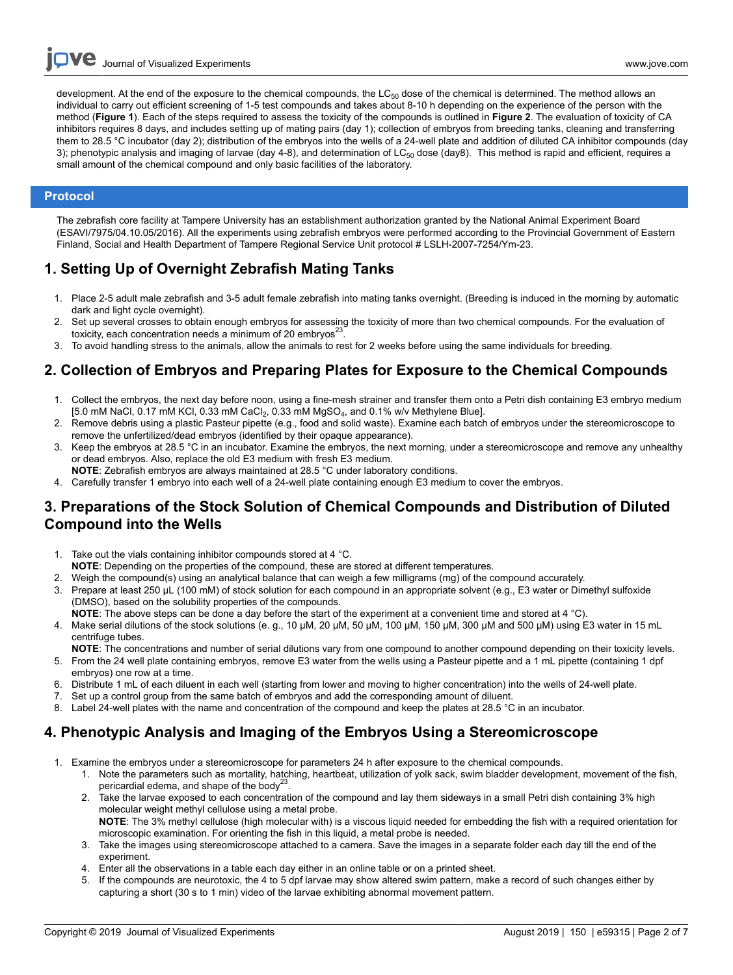**DVC** Journal of Visualized [Experiments](https://www.jove.com) [www.jove.com](https://www.jove.com)

development. At the end of the exposure to the chemical compounds, the LC<sub>50</sub> dose of the chemical is determined. The method allows an individual to carry out efficient screening of 1-5 test compounds and takes about 8-10 h depending on the experience of the person with the method (**Figure 1**). Each of the steps required to assess the toxicity of the compounds is outlined in **Figure 2**. The evaluation of toxicity of CA inhibitors requires 8 days, and includes setting up of mating pairs (day 1); collection of embryos from breeding tanks, cleaning and transferring them to 28.5 °C incubator (day 2); distribution of the embryos into the wells of a 24-well plate and addition of diluted CA inhibitor compounds (day 3); phenotypic analysis and imaging of larvae (day 4-8), and determination of LC<sub>50</sub> dose (day8). This method is rapid and efficient, requires a small amount of the chemical compound and only basic facilities of the laboratory.

## **Protocol**

The zebrafish core facility at Tampere University has an establishment authorization granted by the National Animal Experiment Board (ESAVI/7975/04.10.05/2016). All the experiments using zebrafish embryos were performed according to the Provincial Government of Eastern Finland, Social and Health Department of Tampere Regional Service Unit protocol # LSLH-2007-7254/Ym-23.

# **1. Setting Up of Overnight Zebrafish Mating Tanks**

- 1. Place 2-5 adult male zebrafish and 3-5 adult female zebrafish into mating tanks overnight. (Breeding is induced in the morning by automatic dark and light cycle overnight).
- 2. Set up several crosses to obtain enough embryos for assessing the toxicity of more than two chemical compounds. For the evaluation of toxicity, each concentration needs a minimum of 20 embryos<sup>23</sup> .
- 3. To avoid handling stress to the animals, allow the animals to rest for 2 weeks before using the same individuals for breeding.

# **2. Collection of Embryos and Preparing Plates for Exposure to the Chemical Compounds**

- 1. Collect the embryos, the next day before noon, using a fine-mesh strainer and transfer them onto a Petri dish containing E3 embryo medium [5.0 mM NaCl, 0.17 mM KCl, 0.33 mM CaCl<sub>2</sub>, 0.33 mM MgSO<sub>4</sub>, and 0.1% w/v Methylene Blue].
- 2. Remove debris using a plastic Pasteur pipette (e.g., food and solid waste). Examine each batch of embryos under the stereomicroscope to remove the unfertilized/dead embryos (identified by their opaque appearance).
- 3. Keep the embryos at 28.5 °C in an incubator. Examine the embryos, the next morning, under a stereomicroscope and remove any unhealthy or dead embryos. Also, replace the old E3 medium with fresh E3 medium.
- **NOTE**: Zebrafish embryos are always maintained at 28.5 °C under laboratory conditions.
- 4. Carefully transfer 1 embryo into each well of a 24-well plate containing enough E3 medium to cover the embryos.

## **3. Preparations of the Stock Solution of Chemical Compounds and Distribution of Diluted Compound into the Wells**

- 1. Take out the vials containing inhibitor compounds stored at 4 °C.
- **NOTE**: Depending on the properties of the compound, these are stored at different temperatures.
- 2. Weigh the compound(s) using an analytical balance that can weigh a few milligrams (mg) of the compound accurately.
- 3. Prepare at least 250 μL (100 mM) of stock solution for each compound in an appropriate solvent (e.g., E3 water or Dimethyl sulfoxide (DMSO), based on the solubility properties of the compounds.
- **NOTE**: The above steps can be done a day before the start of the experiment at a convenient time and stored at 4 °C). 4. Make serial dilutions of the stock solutions (e. g., 10 μM, 20 μM, 50 μM, 100 μM, 150 μM, 300 μM and 500 μM) using E3 water in 15 mL
- centrifuge tubes.
- **NOTE**: The concentrations and number of serial dilutions vary from one compound to another compound depending on their toxicity levels.
- 5. From the 24 well plate containing embryos, remove E3 water from the wells using a Pasteur pipette and a 1 mL pipette (containing 1 dpf embryos) one row at a time.
- 6. Distribute 1 mL of each diluent in each well (starting from lower and moving to higher concentration) into the wells of 24-well plate.
- 7. Set up a control group from the same batch of embryos and add the corresponding amount of diluent.
- 8. Label 24-well plates with the name and concentration of the compound and keep the plates at 28.5 °C in an incubator.

# **4. Phenotypic Analysis and Imaging of the Embryos Using a Stereomicroscope**

- 1. Examine the embryos under a stereomicroscope for parameters 24 h after exposure to the chemical compounds.
	- 1. Note the parameters such as mortality, hatching, heartbeat, utilization of yolk sack, swim bladder development, movement of the fish, pericardial edema, and shape of the body $^{23}$ .
	- 2. Take the larvae exposed to each concentration of the compound and lay them sideways in a small Petri dish containing 3% high molecular weight methyl cellulose using a metal probe. **NOTE**: The 3% methyl cellulose (high molecular with) is a viscous liquid needed for embedding the fish with a required orientation for
	- microscopic examination. For orienting the fish in this liquid, a metal probe is needed. 3. Take the images using stereomicroscope attached to a camera. Save the images in a separate folder each day till the end of the experiment.
	- 4. Enter all the observations in a table each day either in an online table or on a printed sheet.
	- 5. If the compounds are neurotoxic, the 4 to 5 dpf larvae may show altered swim pattern, make a record of such changes either by capturing a short (30 s to 1 min) video of the larvae exhibiting abnormal movement pattern.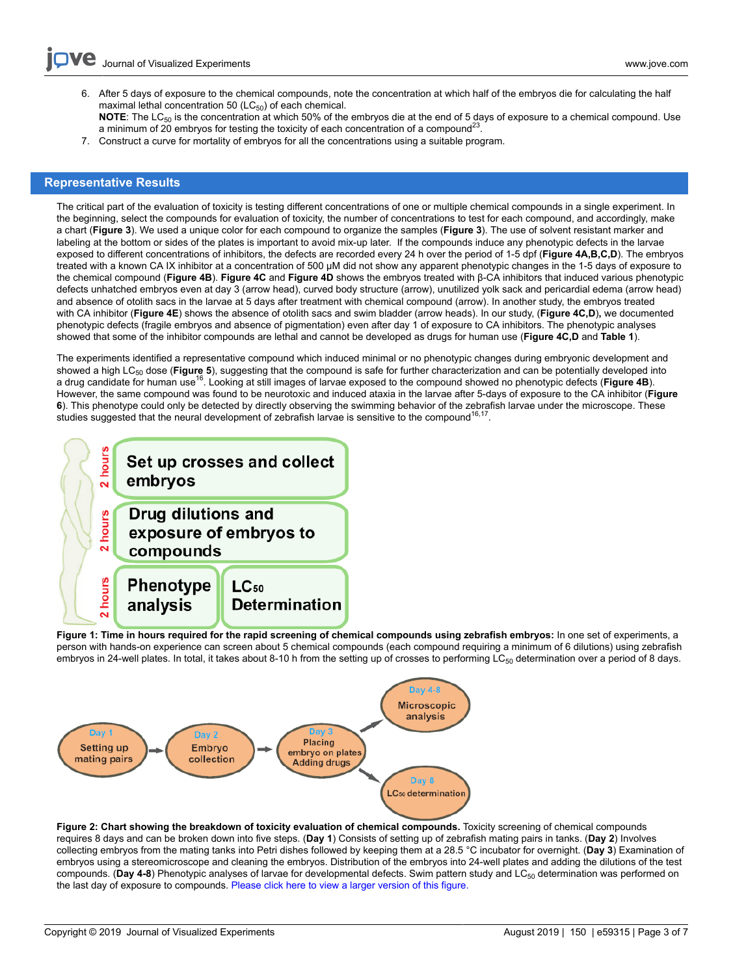- 6. After 5 days of exposure to the chemical compounds, note the concentration at which half of the embryos die for calculating the half maximal lethal concentration 50 ( $LC_{50}$ ) of each chemical. **NOTE**: The LC<sub>50</sub> is the concentration at which 50% of the embryos die at the end of 5 days of exposure to a chemical compound. Use
- a minimum of 20 embryos for testing the toxicity of each concentration of a compound<sup>23</sup>.
- 7. Construct a curve for mortality of embryos for all the concentrations using a suitable program.

### **Representative Results**

The critical part of the evaluation of toxicity is testing different concentrations of one or multiple chemical compounds in a single experiment. In the beginning, select the compounds for evaluation of toxicity, the number of concentrations to test for each compound, and accordingly, make a chart (**Figure 3**). We used a unique color for each compound to organize the samples (**Figure 3**). The use of solvent resistant marker and labeling at the bottom or sides of the plates is important to avoid mix-up later. If the compounds induce any phenotypic defects in the larvae exposed to different concentrations of inhibitors, the defects are recorded every 24 h over the period of 1-5 dpf (**Figure 4A,B,C,D**). The embryos treated with a known CA IX inhibitor at a concentration of 500 μM did not show any apparent phenotypic changes in the 1-5 days of exposure to the chemical compound (**Figure 4B**). **Figure 4C** and **Figure 4D** shows the embryos treated with β-CA inhibitors that induced various phenotypic defects unhatched embryos even at day 3 (arrow head), curved body structure (arrow), unutilized yolk sack and pericardial edema (arrow head) and absence of otolith sacs in the larvae at 5 days after treatment with chemical compound (arrow). In another study, the embryos treated with CA inhibitor (**Figure 4E**) shows the absence of otolith sacs and swim bladder (arrow heads). In our study, (**Figure 4C,D**)**,** we documented phenotypic defects (fragile embryos and absence of pigmentation) even after day 1 of exposure to CA inhibitors. The phenotypic analyses showed that some of the inhibitor compounds are lethal and cannot be developed as drugs for human use (**Figure 4C,D** and **Table 1**).

The experiments identified a representative compound which induced minimal or no phenotypic changes during embryonic development and showed a high LC<sub>50</sub> dose (**Figure 5**), suggesting that the compound is safe for further characterization and can be potentially developed into a drug candidate for human use16. Looking at still images of larvae exposed to the compound showed no phenotypic defects (**Figure 4B**). However, the same compound was found to be neurotoxic and induced ataxia in the larvae after 5-days of exposure to the CA inhibitor (**Figure 6**). This phenotype could only be detected by directly observing the swimming behavior of the zebrafish larvae under the microscope. These studies suggested that the neural development of zebrafish larvae is sensitive to the compound<sup>16,17</sup>.



Figure 1: Time in hours required for the rapid screening of chemical compounds using zebrafish embryos: In one set of experiments, a person with hands-on experience can screen about 5 chemical compounds (each compound requiring a minimum of 6 dilutions) using zebrafish embryos in 24-well plates. In total, it takes about 8-10 h from the setting up of crosses to performing  $LC_{50}$  determination over a period of 8 days.



#### Figure 2: Chart showing the breakdown of toxicity evaluation of chemical compounds. Toxicity screening of chemical compounds requires 8 days and can be broken down into five steps. (**Day 1**) Consists of setting up of zebrafish mating pairs in tanks. (**Day 2**) Involves collecting embryos from the mating tanks into Petri dishes followed by keeping them at a 28.5 °C incubator for overnight. (**Day 3**) Examination of embryos using a stereomicroscope and cleaning the embryos. Distribution of the embryos into 24-well plates and adding the dilutions of the test compounds. (Day 4-8) Phenotypic analyses of larvae for developmental defects. Swim pattern study and LC<sub>50</sub> determination was performed on the last day of exposure to compounds. [Please click here to view a larger version of this figure.](https://www.jove.com/files/ftp_upload/59315/59315fig2large.jpg)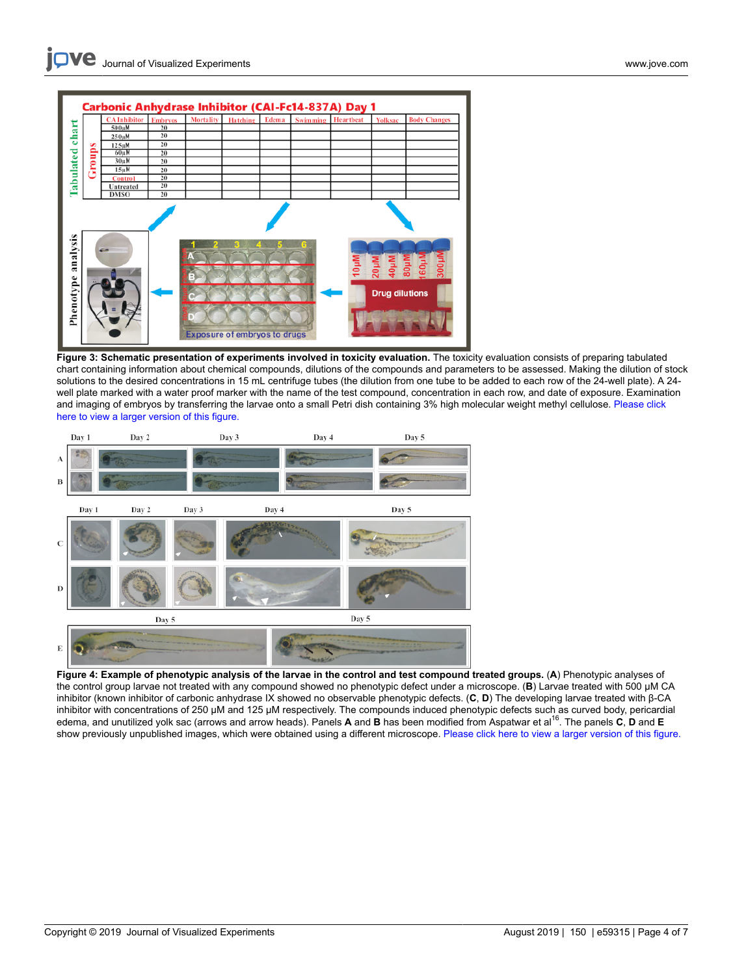

Figure 3: Schematic presentation of experiments involved in toxicity evaluation. The toxicity evaluation consists of preparing tabulated chart containing information about chemical compounds, dilutions of the compounds and parameters to be assessed. Making the dilution of stock solutions to the desired concentrations in 15 mL centrifuge tubes (the dilution from one tube to be added to each row of the 24-well plate). A 24 well plate marked with a water proof marker with the name of the test compound, concentration in each row, and date of exposure. Examination and imaging of embryos by transferring the larvae onto a small Petri dish containing 3% high molecular weight methyl cellulose. [Please click](https://www.jove.com/files/ftp_upload/59315/59315fig3v2large.jpg) [here to view a larger version of this figure.](https://www.jove.com/files/ftp_upload/59315/59315fig3v2large.jpg)



**Figure 4: Example of phenotypic analysis of the larvae in the control and test compound treated groups.** (**A**) Phenotypic analyses of the control group larvae not treated with any compound showed no phenotypic defect under a microscope. (**B**) Larvae treated with 500 μM CA inhibitor (known inhibitor of carbonic anhydrase IX showed no observable phenotypic defects. (**C**, **D**) The developing larvae treated with β-CA inhibitor with concentrations of 250 μM and 125 μM respectively. The compounds induced phenotypic defects such as curved body, pericardial<br>edema, and unutilized yolk sac (arrows and arrow heads). Panels **A** and **B** has be show previously unpublished images, which were obtained using a different microscope. [Please click here to view a larger version of this figure.](https://www.jove.com/files/ftp_upload/59315/59315fig4v3large.jpg)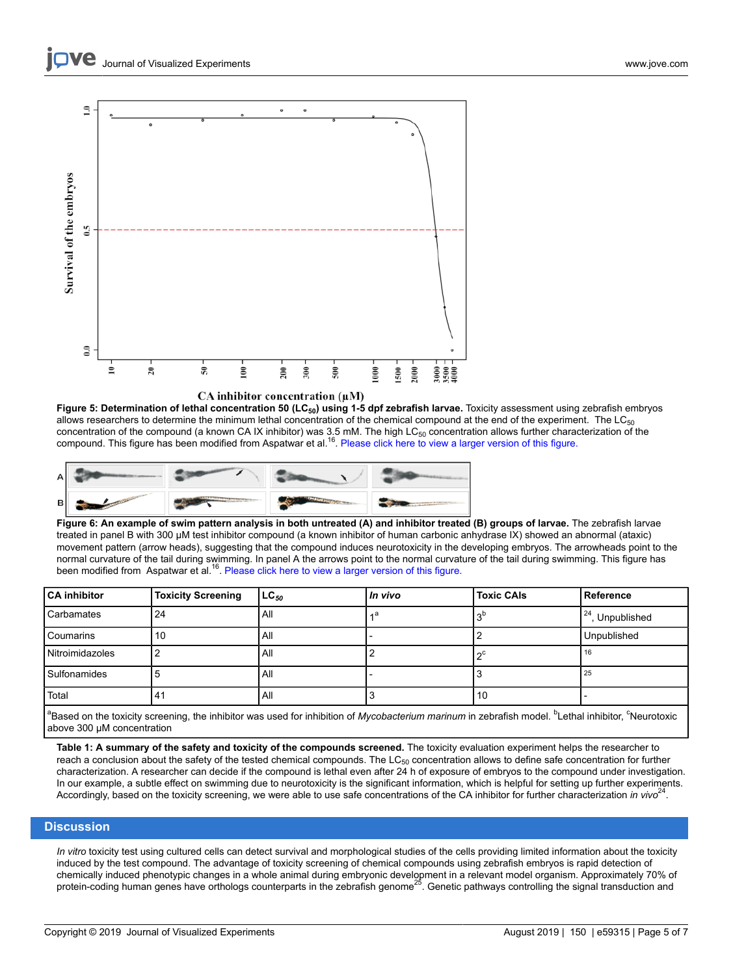

### CA inhibitor concentration  $(\mu M)$

Figure 5: Determination of lethal concentration 50 (LC<sub>50</sub>) using 1-5 dpf zebrafish larvae. Toxicity assessment using zebrafish embryos allows researchers to determine the minimum lethal concentration of the chemical compound at the end of the experiment. The  $LC_{50}$ concentration of the compound (a known CA IX inhibitor) was 3.5 mM. The high  $LC_{50}$  concentration allows further characterization of the compound. This figure has been modified from Aspatwar et al.<sup>16</sup>. [Please click here to view a larger version of this figure.](https://www.jove.com/files/ftp_upload/59315/59315fig5v2large.jpg)



**Figure 6: An example of swim pattern analysis in both untreated (A) and inhibitor treated (B) groups of larvae.** The zebrafish larvae treated in panel B with 300 μM test inhibitor compound (a known inhibitor of human carbonic anhydrase IX) showed an abnormal (ataxic) movement pattern (arrow heads), suggesting that the compound induces neurotoxicity in the developing embryos. The arrowheads point to the normal curvature of the tail during swimming. In panel A the arrows point to the normal curvature of the tail during swimming. This figure has been modified from Aspatwar et al.<sup>16</sup>. [Please click here to view a larger version of this figure.](https://www.jove.com/files/ftp_upload/59315/59315fig6v3large.jpg)

| <b>CA inhibitor</b> | <b>Toxicity Screening</b> | $LC_{50}$ | In vivo | <b>Toxic CAIs</b>       | l Reference                |
|---------------------|---------------------------|-----------|---------|-------------------------|----------------------------|
| <b>Carbamates</b>   | 24                        | All       |         | ירי                     | $\vert^{24}$ , Unpublished |
| Coumarins           | 10                        | All       |         |                         | Unpublished                |
| Nitroimidazoles     |                           | All       |         | $\mathsf{P}^\mathsf{c}$ | 16                         |
| Sulfonamides        |                           | All       |         |                         | 25                         |
| Total               | 41                        | All       |         | 10                      |                            |

<sup>a</sup>Based on the toxicity screening, the inhibitor was used for inhibition of *Mycobacterium marinum* in zebrafish model. <sup>b</sup>Lethal inhibitor, <sup>c</sup>Neurotoxic above 300 μM concentration

**Table 1: A summary of the safety and toxicity of the compounds screened.** The toxicity evaluation experiment helps the researcher to reach a conclusion about the safety of the tested chemical compounds. The  $LC_{50}$  concentration allows to define safe concentration for further characterization. A researcher can decide if the compound is lethal even after 24 h of exposure of embryos to the compound under investigation. In our example, a subtle effect on swimming due to neurotoxicity is the significant information, which is helpful for setting up further experiments. Accordingly, based on the toxicity screening, we were able to use safe concentrations of the CA inhibitor for further characterization *in vivo*<sup>24</sup>.

### **Discussion**

*In vitro* toxicity test using cultured cells can detect survival and morphological studies of the cells providing limited information about the toxicity induced by the test compound. The advantage of toxicity screening of chemical compounds using zebrafish embryos is rapid detection of chemically induced phenotypic changes in a whole animal during embryonic development in a relevant model organism. Approximately 70% of protein-coding human genes have orthologs counterparts in the zebrafish genome<sup>25</sup>. Genetic pathways controlling the signal transduction and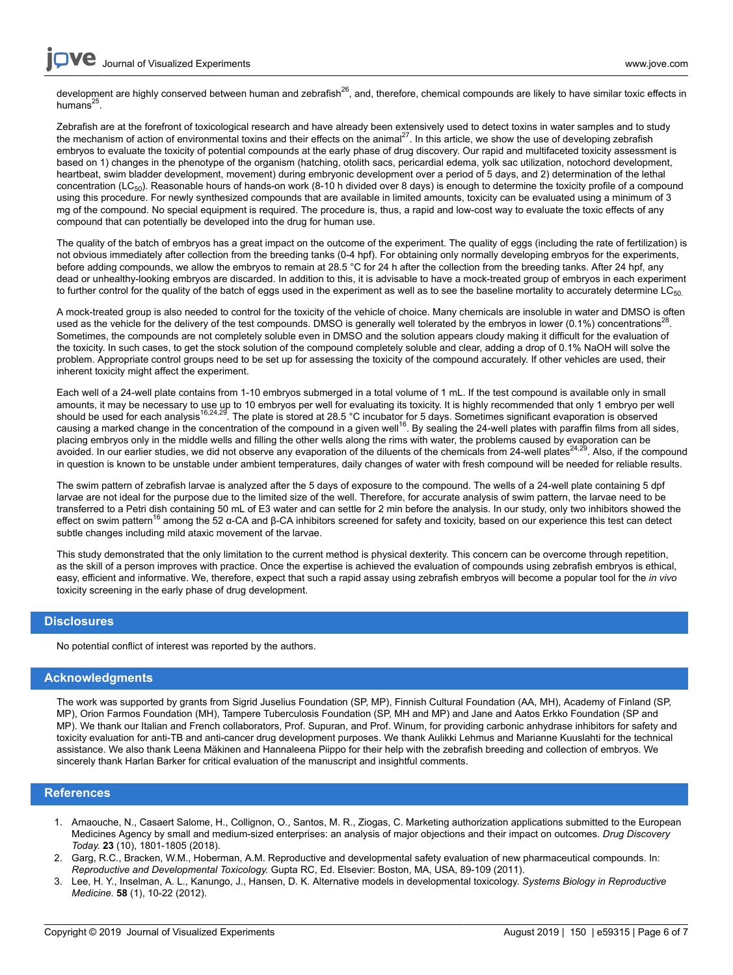development are highly conserved between human and zebrafish<sup>26</sup>, and, therefore, chemical compounds are likely to have similar toxic effects in humans<sup>25</sup> .

Zebrafish are at the forefront of toxicological research and have already been extensively used to detect toxins in water samples and to study the mechanism of action of environmental toxins and their effects on the animal<sup>27</sup>. In this article, we show the use of developing zebrafish embryos to evaluate the toxicity of potential compounds at the early phase of drug discovery. Our rapid and multifaceted toxicity assessment is based on 1) changes in the phenotype of the organism (hatching, otolith sacs, pericardial edema, yolk sac utilization, notochord development, heartbeat, swim bladder development, movement) during embryonic development over a period of 5 days, and 2) determination of the lethal concentration (LC $_{50}$ ). Reasonable hours of hands-on work (8-10 h divided over 8 days) is enough to determine the toxicity profile of a compound using this procedure. For newly synthesized compounds that are available in limited amounts, toxicity can be evaluated using a minimum of 3 mg of the compound. No special equipment is required. The procedure is, thus, a rapid and low-cost way to evaluate the toxic effects of any compound that can potentially be developed into the drug for human use.

The quality of the batch of embryos has a great impact on the outcome of the experiment. The quality of eggs (including the rate of fertilization) is not obvious immediately after collection from the breeding tanks (0-4 hpf). For obtaining only normally developing embryos for the experiments, before adding compounds, we allow the embryos to remain at 28.5 °C for 24 h after the collection from the breeding tanks. After 24 hpf, any dead or unhealthy-looking embryos are discarded. In addition to this, it is advisable to have a mock-treated group of embryos in each experiment to further control for the quality of the batch of eggs used in the experiment as well as to see the baseline mortality to accurately determine  $LC_{50}$ .

A mock-treated group is also needed to control for the toxicity of the vehicle of choice. Many chemicals are insoluble in water and DMSO is often used as the vehicle for the delivery of the test compounds. DMSO is generally well tolerated by the embryos in lower (0.1%) concentrations<sup>2</sup> . Sometimes, the compounds are not completely soluble even in DMSO and the solution appears cloudy making it difficult for the evaluation of the toxicity. In such cases, to get the stock solution of the compound completely soluble and clear, adding a drop of 0.1% NaOH will solve the problem. Appropriate control groups need to be set up for assessing the toxicity of the compound accurately. If other vehicles are used, their inherent toxicity might affect the experiment.

Each well of a 24-well plate contains from 1-10 embryos submerged in a total volume of 1 mL. If the test compound is available only in small amounts, it may be necessary to use up to 10 embryos per well for evaluating its toxicity. It is highly recommended that only 1 embryo per well<br>should be used for each analysis<sup>16,24,29</sup>. The plate is stored at 28.5 °C inc causing a marked change in the concentration of the compound in a given well<sup>16</sup>. By sealing the 24-well plates with paraffin films from all sides, placing embryos only in the middle wells and filling the other wells along the rims with water, the problems caused by evaporation can be avoided. In our earlier studies, we did not observe any evaporation of the diluents of the chemicals from 24-well plates<sup>24,29</sup>. Also, if the compound in question is known to be unstable under ambient temperatures, daily changes of water with fresh compound will be needed for reliable results.

The swim pattern of zebrafish larvae is analyzed after the 5 days of exposure to the compound. The wells of a 24-well plate containing 5 dpf larvae are not ideal for the purpose due to the limited size of the well. Therefore, for accurate analysis of swim pattern, the larvae need to be transferred to a Petri dish containing 50 mL of E3 water and can settle for 2 min before the analysis. In our study, only two inhibitors showed the effect on swim pattern<sup>16</sup> among the 52 α-CA and β-CA inhibitors screened for safety and toxicity, based on our experience this test can detect subtle changes including mild ataxic movement of the larvae.

This study demonstrated that the only limitation to the current method is physical dexterity. This concern can be overcome through repetition, as the skill of a person improves with practice. Once the expertise is achieved the evaluation of compounds using zebrafish embryos is ethical, easy, efficient and informative. We, therefore, expect that such a rapid assay using zebrafish embryos will become a popular tool for the *in vivo* toxicity screening in the early phase of drug development.

### **Disclosures**

No potential conflict of interest was reported by the authors.

### **Acknowledgments**

The work was supported by grants from Sigrid Juselius Foundation (SP, MP), Finnish Cultural Foundation (AA, MH), Academy of Finland (SP, MP), Orion Farmos Foundation (MH), Tampere Tuberculosis Foundation (SP, MH and MP) and Jane and Aatos Erkko Foundation (SP and MP). We thank our Italian and French collaborators, Prof. Supuran, and Prof. Winum, for providing carbonic anhydrase inhibitors for safety and toxicity evaluation for anti-TB and anti-cancer drug development purposes. We thank Aulikki Lehmus and Marianne Kuuslahti for the technical assistance. We also thank Leena Mäkinen and Hannaleena Piippo for their help with the zebrafish breeding and collection of embryos. We sincerely thank Harlan Barker for critical evaluation of the manuscript and insightful comments.

### **References**

- 1. Amaouche, N., Casaert Salome, H., Collignon, O., Santos, M. R., Ziogas, C. Marketing authorization applications submitted to the European Medicines Agency by small and medium-sized enterprises: an analysis of major objections and their impact on outcomes. *Drug Discovery Today.* **23** (10), 1801-1805 (2018).
- 2. Garg, R.C., Bracken, W.M., Hoberman, A.M. Reproductive and developmental safety evaluation of new pharmaceutical compounds. In: *Reproductive and Developmental Toxicology.* Gupta RC, Ed. Elsevier: Boston, MA, USA, 89-109 (2011).
- 3. Lee, H. Y., Inselman, A. L., Kanungo, J., Hansen, D. K. Alternative models in developmental toxicology. *Systems Biology in Reproductive Medicine.* **58** (1), 10-22 (2012).